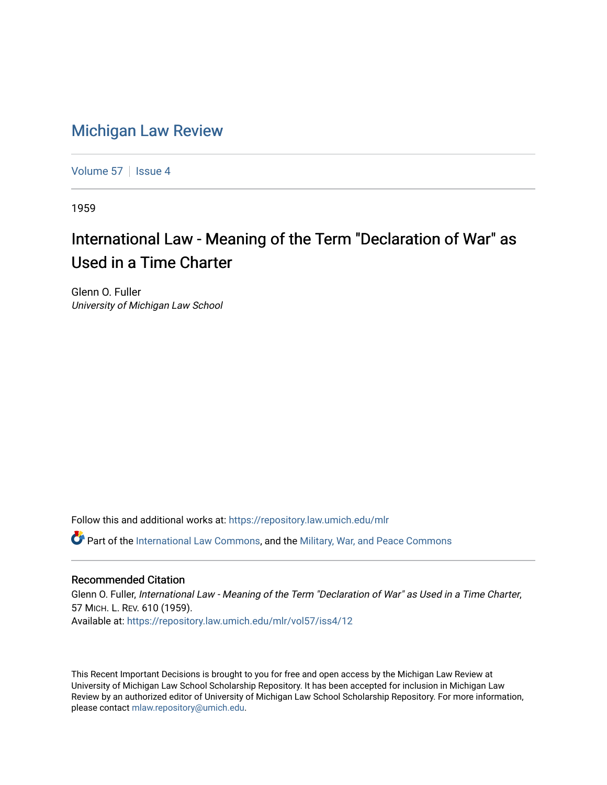## [Michigan Law Review](https://repository.law.umich.edu/mlr)

[Volume 57](https://repository.law.umich.edu/mlr/vol57) | [Issue 4](https://repository.law.umich.edu/mlr/vol57/iss4)

1959

## International Law - Meaning of the Term "Declaration of War" as Used in a Time Charter

Glenn O. Fuller University of Michigan Law School

Follow this and additional works at: [https://repository.law.umich.edu/mlr](https://repository.law.umich.edu/mlr?utm_source=repository.law.umich.edu%2Fmlr%2Fvol57%2Fiss4%2F12&utm_medium=PDF&utm_campaign=PDFCoverPages) 

 $\bullet$  Part of the [International Law Commons,](http://network.bepress.com/hgg/discipline/609?utm_source=repository.law.umich.edu%2Fmlr%2Fvol57%2Fiss4%2F12&utm_medium=PDF&utm_campaign=PDFCoverPages) and the Military, War, and Peace Commons

## Recommended Citation

Glenn O. Fuller, International Law - Meaning of the Term "Declaration of War" as Used in a Time Charter, 57 MICH. L. REV. 610 (1959). Available at: [https://repository.law.umich.edu/mlr/vol57/iss4/12](https://repository.law.umich.edu/mlr/vol57/iss4/12?utm_source=repository.law.umich.edu%2Fmlr%2Fvol57%2Fiss4%2F12&utm_medium=PDF&utm_campaign=PDFCoverPages) 

This Recent Important Decisions is brought to you for free and open access by the Michigan Law Review at University of Michigan Law School Scholarship Repository. It has been accepted for inclusion in Michigan Law Review by an authorized editor of University of Michigan Law School Scholarship Repository. For more information, please contact [mlaw.repository@umich.edu.](mailto:mlaw.repository@umich.edu)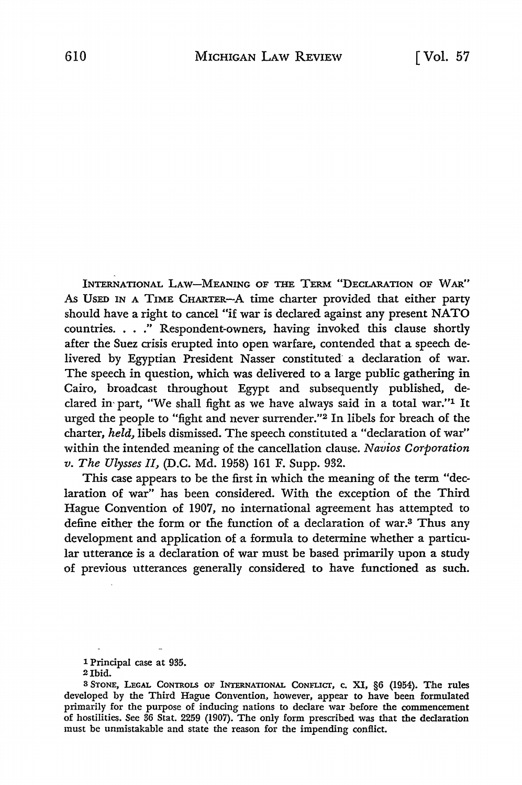INTERNATIONAL LAW-MEANING OF THE TERM "DECLARATION OF WAR" As UsED IN A TIME CHARTER-A time charter provided that either party should have a right to cancel "if war is declared against any present NATO countries. . . ." Respondent-owners, having invoked this clause shortly after the Suez crisis erupted into open warfare, contended that a speech delivered by Egyptian President Nasser constituted a declaration of war. The speech in question, which was delivered to a large public gathering in Cairo, broadcast throughout Egypt and subsequently published, declared in- part, "We shall fight as we have always said in a total war."1 It urged the people to "fight and never surrender."2 In libels for breach of the charter, *held,* libels dismissed. The speech constituted a "declaration of war" within the intended meaning of the cancellation clause. *Navios Corporation v. The Ulysses II,* (D.C. Md. 1958) 161 F. Supp. 932.

This case appears to be the first in which the meaning of the term "declaration of war" has been considered. With the exception of the Third Hague Convention of 1907, no international agreement has attempted to define either the form or the function of a declaration of war.3 Thus any development and application of a formula to determine whether a particular utterance is a declaration of war must be based primarily upon a study of previous utterances generally considered to have functioned as such.

<sup>1</sup> Principal case at 935.

<sup>2</sup>lbid.

<sup>3</sup> STONE, LEGAL CONTROLS OF INTERNATIONAL CONFLICT, c. XI, §6 (1954). The rules developed by the Third Hague Convention, however, appear to have been formulated primarily for the purpose of inducing nations to declare war before the commencement of hostilities. See 36 Stat. 2259 (1907). The only form prescribed was that the declaration must be unmistakable and state the reason for the impending conflict.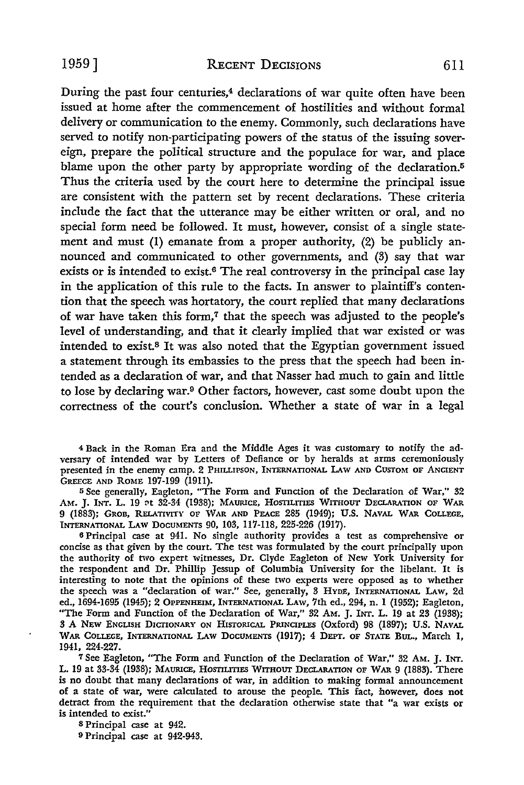During the past four centuries,4 declarations of war quite often have been issued at home after the commencement of hostilities and without formal delivery or communication to the enemy. Commonly, such declarations have served to notify non-participating powers of the status of the issuing sovereign, prepare the political structure and the populace for war, and place blame upon the other party by appropriate wording of the declaration.<sup>5</sup> Thus the criteria used by the court here to determine the principal issue are consistent with the pattern set by recent declarations. These criteria include the fact that the utterance may be either written or oral, and no special form need be followed. It must, however, consist of a single statement and must (1) emanate from a proper authority, (2) be publicly announced and communicated to other governments, and (3) say that war exists or is intended to exist.<sup>6</sup> The real controversy in the principal case lay in the application of this rule to the facts. In answer to plaintiff's contention that the speech was hortatory, the court replied that many declarations of war have taken this form,7 that the speech was adjusted to the people's level of understanding, and that it clearly implied that war existed or was intended to exist.8 It was also noted that the Egyptian government issued a statement through its embassies to the press that the speech had been intended as a declaration of war, and that Nasser had much to gain and little to lose by declaring war.9 Other factors, however, cast some doubt upon the correctness of the court's conclusion. Whether a state of war in a legal

4 Back in the Roman Era and the Middle Ages it was customary to notify the adversary of intended war by Letters of Defiance or by heralds at arms ceremoniously presented in the enemy camp. 2 PHILLIPSON, INTERNATIONAL LAw AND CUSTOM OF ANCIENT GREECE AND ROME 197-199 (1911).

<sup>5</sup>See generally, Eagleton, "The Form and Function of the Declaration of War," 32 AM. J. Int. L. 19 ot 32-34 (1938); MAURICE, HOSTILITIES WITHOUT DECLARATION OF WAR 9 (1883); GROB, RELATIVITY OF WAR AND PEACE 285 (1949); U.S. NAVAL WAR COLLEGE, INTERNATIONAL LAW DOCUMENTS 90, 103, 117-118, 225-226 (1917).

<sup>6</sup>Principal case at 941. No single authority provides a test as comprehensive or concise as that given by the court. The test was formulated by the court principally upon the authority of two expert witnesses, Dr. Clyde Eagleton of New York University for the respondent and Dr. Phillip Jessup of Columbia University for the libelant. It is interesting to note that the opinions of these two experts were opposed as to whether the speech was a "declaration of war." See, generally, 3 HYDE, INTERNATIONAL LAW, 2d ed., 1694-1695 (1945); 2 OPPENHEIM, INTERNATIONAL LAw, 7th ed., 294, n. 1 (1952); Eagleton, "The Form and Function of the Declaration of War," 32 AM. J. INT. L. 19 at 23 (1938); 3 A NEW ENGLISH DICTIONARY ON HISTORICAL PRINCIPLES (Oxford) 98 (1897); U.S. NAVAL WAR COLLEGE, INTERNATIONAL LAW DOCUMENTS (1917); 4 DEPT. OF STATE BUL., March 1, 1941, 224-227.

<sup>7</sup>See Eagleton, "The Form and Function of the Declaration of War," 32 AM. J. INT. L. 19 at 33-34 (1938); MAURICE, HOSTILITIES WITHOUT DECLARATION OF WAR 9 (1883). There is no doubt that many declarations of war, in addition to making formal announcement of a state of war, were calculated to arouse the people. This fact, however, does not detract from the requirement that the declaration otherwise state that "a war exists or is intended to exist."

s Principal case at 942.

o Principal case at 942-943.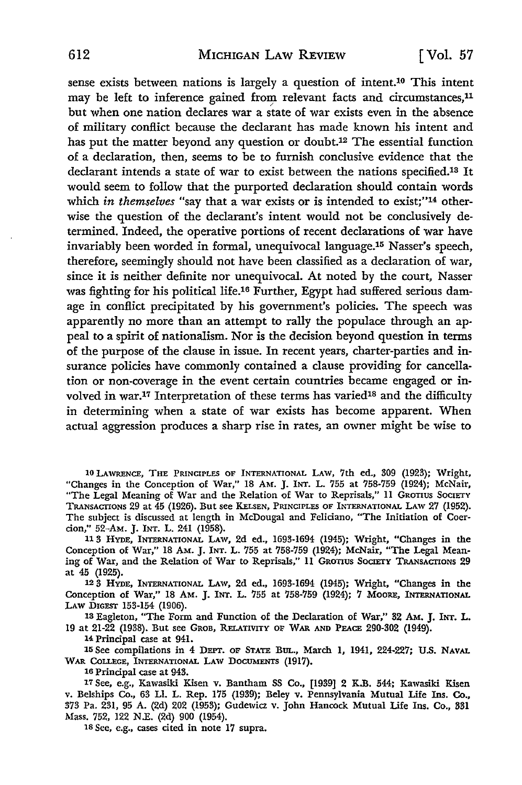sense exists between nations is largely a question of intent.10 This intent may be left to inference gained from relevant facts and circumstances,<sup>11</sup> but when one nation declares war a state of war exists even in the absence of military conflict because the declarant has made known his intent and has put the matter beyond any question or doubt.12 The essential function of a declaration, then, seems to be to furnish conclusive evidence that the declarant intends a state of war to exist between the nations specified.18 It would seem to follow that the purported declaration should contain words which *in themselves* "say that a war exists or is intended to exist;"<sup>14</sup> otherwise the question of the declarant's intent would not be conclusively determined. Indeed, the operative portions of recent declarations of war have invariably been worded in formal, unequivocal language.15 Nasser's speech, therefore, seemingly should not have been classified as a declaration of war, since it is neither definite nor unequivocal. At noted by the court, Nasser was fighting for his political life.16 Further, Egypt had suffered serious damage in conflict precipitated by his government's policies. The speech was apparently no more than an attempt to rally the populace through an appeal to a spirit of nationalism. Nor is the decision beyond question in terms of the purpose of the clause in issue. In recent years, charter-parties and insurance policies have commonly contained a clause providing for cancellation or non-coverage in the event certain countries became engaged or involved in war.<sup>17</sup> Interpretation of these terms has varied<sup>18</sup> and the difficulty in determining when a state of war exists has become apparent. When actual aggression produces a sharp rise in rates, an owner might be wise to

10 LAWRENCE, THE PRINCIPLES OF INTERNATIONAL LAW, 7th ed., 309 (1923); Wright, "Changes in the Conception of War," 18 Am. J. INT. L. 755 at 758-759 (1924); McNair, "The Legal Meaning of War and the Relation of War to Reprisals," II GROTIUS SOCIETY TRANSACTIONS 29 at 45 (1926). But see KELSEN, PRINCIPLES OF INTERNATIONAL LAW 27 (1952). The subject is discussed at length in McDougal and Feliciano, "The Initiation of Coercion,'' 52-AM. J. INT. L. 241 (1958).

11 3 HYDE, INTERNATIONAL LAW, 2d ed., 1693-1694 (1945); Wright, "Changes in the Conception of War,'' 18 AM. J. INT. L. 755 at 758-759 (1924); McNair, "The Legal Meaning of War, and the Relation of War to Reprisals,'' II GROTIUS SOCIETY TRANSACTIONS 29 at 45 (1925).

12 3 HYDE, INTERNATIONAL LAw, 2d ed., 1693-1694 (1945); Wright, "Changes in the Conception of War,'' 18 AM. J. INT. L. 755 at 758-759 (1924); 7 MooRE, INTERNATIONAL LAW DIGEST 153-154 (1906).

13 Eagleton, "The Form and Function of the Declaration of War,'' 32 AM. J. INT. L. 19 at 21-22 (1938). But see GROB, RELATIVITY OF WAR AND PEACE 290-302 (1949).

14 Principal case at 941.

15 See compilations in 4 DEPT. OF STATE BUL., March I, 1941, 224-227; U.S. NAVAL WAR CoLLEGE, INTERNATIONAL LAW DOCUMENTS (1917).

16 Principal case at 943.

17 See, e.g., Kawasiki Kisen v. Bantham SS Co., [1939] 2 K.B. 544; Kawasiki Kisen v. Belships Co., 63 LI. L. Rep. 175 (1939); Beley v. Pennsylvania Mutual Life Ins. Co., 373 Pa. 231, 95 A. (2d) 202 (1953); Gudewia v. John Hancock Mutual life Ins. Co., 331 Mass. 752, 122 N.E. (2d) 900 (1954).

ISScc, e.g., cases cited in note 17 supra.